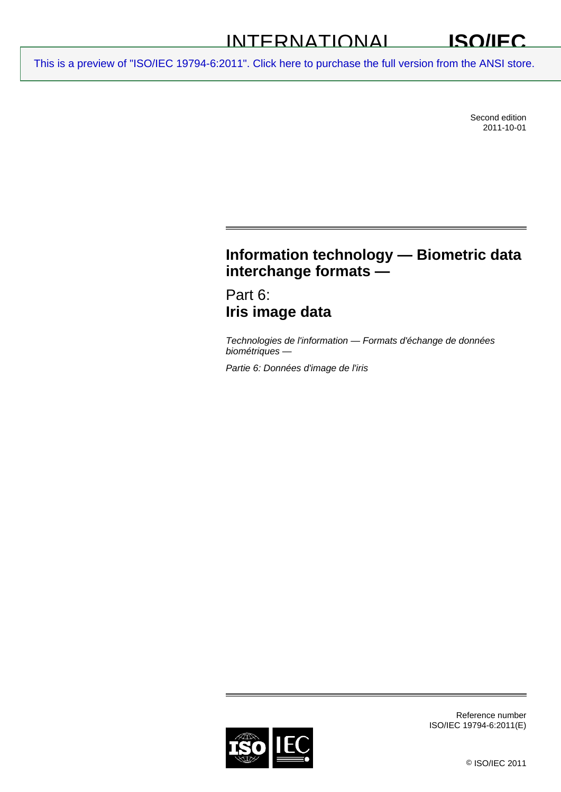#### INTERNATIONAL **ISO/IEC**

[This is a preview of "ISO/IEC 19794-6:2011". Click here to purchase the full version from the ANSI store.](http://webstore.ansi.org/RecordDetail.aspx?sku=ISO%2FIEC%2019794-6:2011&source=preview)

Second edition 2011-10-01

# **Information technology — Biometric data interchange formats —**

Part 6: **Iris image data** 

*Technologies de l'information — Formats d'échange de données biométriques —* 

*Partie 6: Données d'image de l'iris* 



Reference number ISO/IEC 19794-6:2011(E)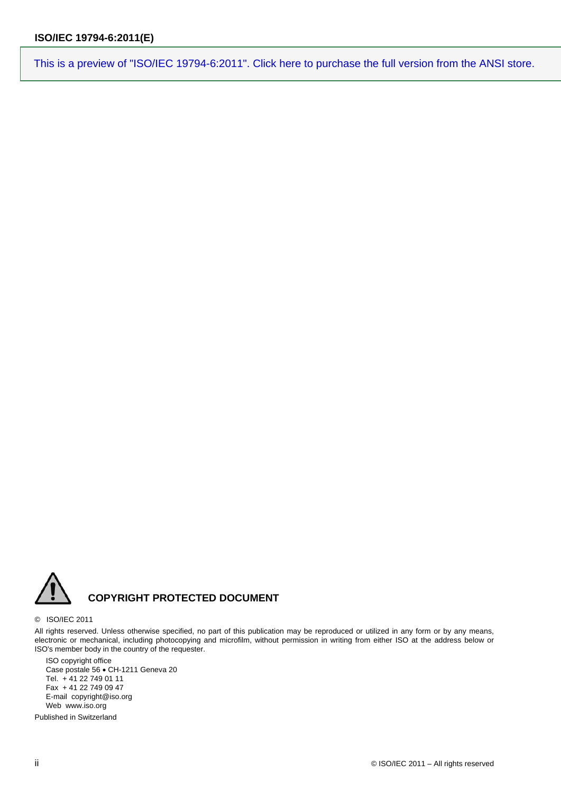

#### © ISO/IEC 2011

All rights reserved. Unless otherwise specified, no part of this publication may be reproduced or utilized in any form or by any means, electronic or mechanical, including photocopying and microfilm, without permission in writing from either ISO at the address below or ISO's member body in the country of the requester.

ISO copyright office Case postale 56 · CH-1211 Geneva 20 Tel. + 41 22 749 01 11 Fax + 41 22 749 09 47 E-mail copyright@iso.org Web www.iso.org

Published in Switzerland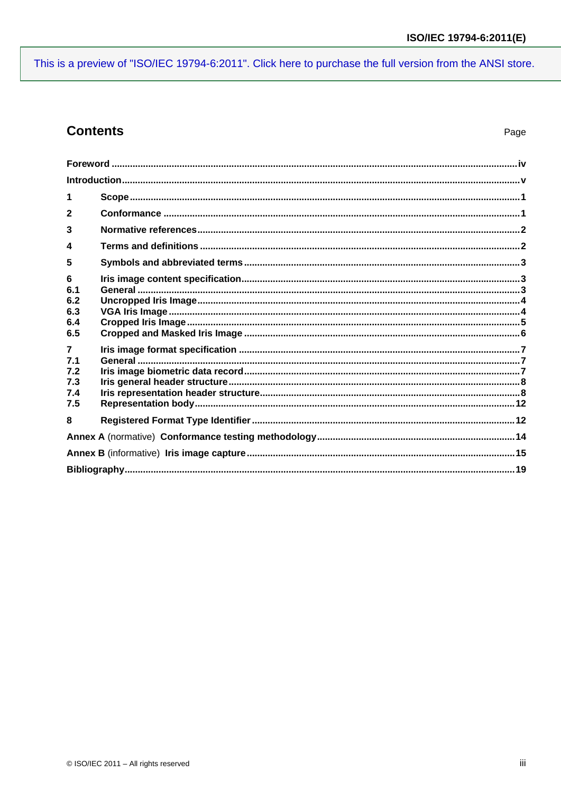## **Contents**

| $\overline{2}$ |  |  |
|----------------|--|--|
| 3              |  |  |
| $\Delta$       |  |  |
| 5              |  |  |
| 6<br>6.1       |  |  |
| 6.2            |  |  |
| 6.3            |  |  |
| 6.4            |  |  |
| 6.5            |  |  |
| $\overline{7}$ |  |  |
| 7.1            |  |  |
| 7.2            |  |  |
| 7.3            |  |  |
| 7.4<br>7.5     |  |  |
|                |  |  |
| 8              |  |  |
|                |  |  |
|                |  |  |
|                |  |  |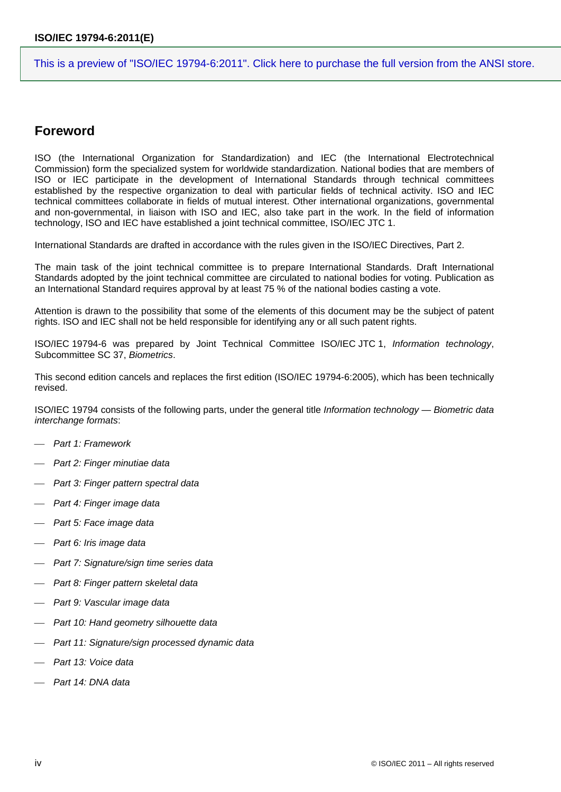### <span id="page-3-0"></span>**Foreword**

ISO (the International Organization for Standardization) and IEC (the International Electrotechnical Commission) form the specialized system for worldwide standardization. National bodies that are members of ISO or IEC participate in the development of International Standards through technical committees established by the respective organization to deal with particular fields of technical activity. ISO and IEC technical committees collaborate in fields of mutual interest. Other international organizations, governmental and non-governmental, in liaison with ISO and IEC, also take part in the work. In the field of information technology, ISO and IEC have established a joint technical committee, ISO/IEC JTC 1.

International Standards are drafted in accordance with the rules given in the ISO/IEC Directives, Part 2.

The main task of the joint technical committee is to prepare International Standards. Draft International Standards adopted by the joint technical committee are circulated to national bodies for voting. Publication as an International Standard requires approval by at least 75 % of the national bodies casting a vote.

Attention is drawn to the possibility that some of the elements of this document may be the subject of patent rights. ISO and IEC shall not be held responsible for identifying any or all such patent rights.

ISO/IEC 19794-6 was prepared by Joint Technical Committee ISO/IEC JTC 1, *Information technology*, Subcommittee SC 37, *Biometrics*.

This second edition cancels and replaces the first edition (ISO/IEC 19794-6:2005), which has been technically revised.

ISO/IEC 19794 consists of the following parts, under the general title *Information technology — Biometric data interchange formats*:

- *Part 1: Framework*
- *Part 2: Finger minutiae data*
- *Part 3: Finger pattern spectral data*
- *Part 4: Finger image data*
- *Part 5: Face image data*
- *Part 6: Iris image data*
- *Part 7: Signature/sign time series data*
- *Part 8: Finger pattern skeletal data*
- *Part 9: Vascular image data*
- *Part 10: Hand geometry silhouette data*
- *Part 11: Signature/sign processed dynamic data*
- *Part 13: Voice data*
- *Part 14: DNA data*